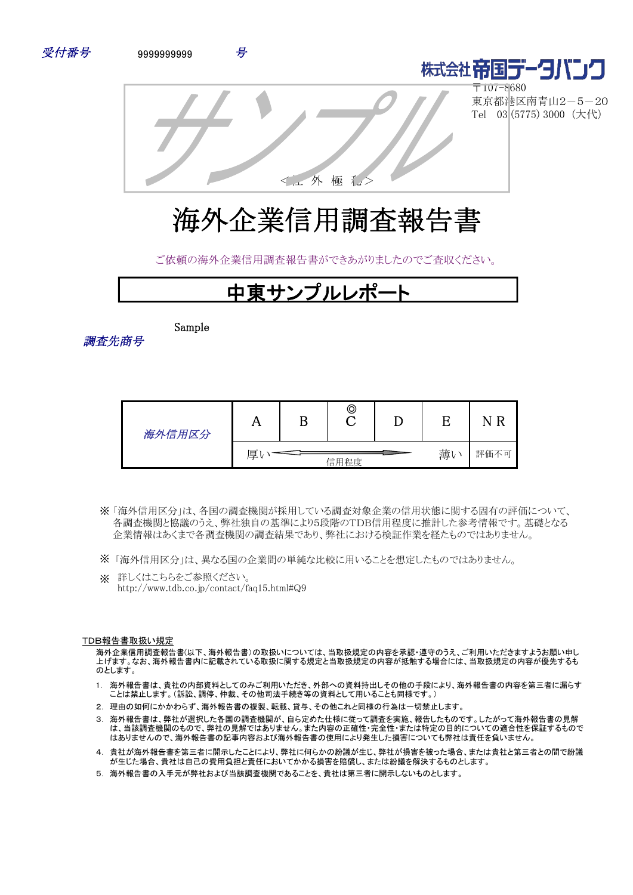



〒107-8680 東京都港区南青山2-5-20 Tel 03 (5775) 3000 (大代)



<工外 極 私

ご依頼の海外企業信用調査報告書ができあがりましたのでご査収ください。

# 中東サンプルレポー

Sample

調査先商号

| 海外信用区分 |   | ©    |    | F<br>N |
|--------|---|------|----|--------|
|        | 厚 | 信用程度 | 薄い | 評価不可   |

- 「海外信用区分」は、各国の調査機関が採用している調査対象企業の信用状態に関する固有の評価について、 ※ 各調査機関と協議のうえ、弊社独自の基準により5段階のTDB信用程度に推計した参考情報です。基礎となる 企業情報はあくまで各調査機関の調査結果であり、弊社における検証作業を経たものではありません。
- ※ 「海外信用区分」は、異なる国の企業間の単純な比較に用いることを想定したものではありません。
- ※ 詳しくはこちらをご参照ください。 http://www.tdb.co.jp/contact/faq15.html#Q9

#### TDB報告書取扱い規定

海外企業信用調査報告書(以下、海外報告書)の取扱いについては、当取扱規定の内容を承認・遵守のうえ、ご利用いただきますようお願い申し 上げます。なお、海外報告書内に記載されている取扱に関する規定と当取扱規定の内容が抵触する場合には、当取扱規定の内容が優先するも のとします。

- 1. 海外報告書は、貴社の内部資料としてのみご利用いただき、外部への資料持出しその他の手段により、海外報告書の内容を第三者に漏らす ことは禁止します。(訴訟、調停、仲裁、その他司法手続き等の資料として用いることも同様です。)
- 2. 理由の如何にかかわらず、海外報告書の複製、転載、貸与、その他これと同様の行為は一切禁止します。
- 3. 海外報告書は、弊社が選択した各国の調査機関が、自ら定めた仕様に従って調査を実施、報告したものです。したがって海外報告書の見解 は、当該調査機関のもので、弊社の見解ではありません。また内容の正確性・完全性・または特定の目的についての適合性を保証するもので はありませんので、海外報告書の記事内容および海外報告書の使用により発生した損害についても弊社は責任を負いません。
- 4. 貴社が海外報告書を第三者に開示したことにより、弊社に何らかの紛議が生じ、弊社が損害を被った場合、または貴社と第三者との間で紛議 。<br>「お生じた場合、貴社は自己の費用負担と責任においてかかる損害を賠償し、または紛議を解決するものとします。
- 5. 海外報告書の入手元が弊社および当該調査機関であることを、貴社は第三者に開示しないものとします。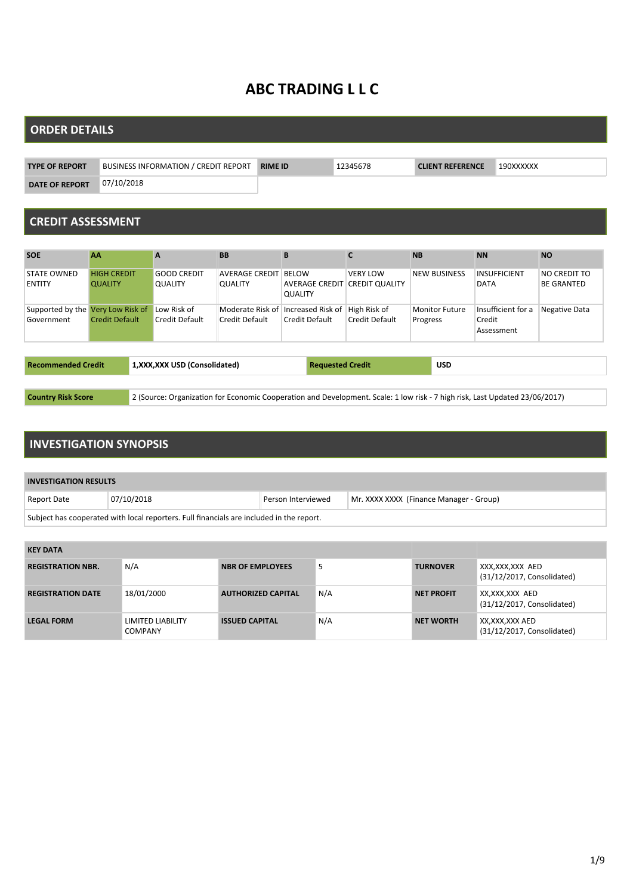# **ABC TRADING L L C**

#### **ORDER DETAILS**

| <b>TYPE OF REPORT</b> | BUSINESS INFORMATION / CREDIT REPORT | <b>RIME ID</b> | 2345678 | <b>CLIENT REFERENCE</b> | 190XXXXXX |
|-----------------------|--------------------------------------|----------------|---------|-------------------------|-----------|
| <b>DATE OF REPORT</b> | 07/10/2018                           |                |         |                         |           |

#### **CREDIT ASSESSMENT**

| <b>SOE</b>                          | <b>AA</b>                            | $\mathbf{A}$                         | <b>BB</b>                               | B                                                    | $\mathbf{C}$    | <b>NB</b>           | <b>NN</b>                          | <b>NO</b>                         |
|-------------------------------------|--------------------------------------|--------------------------------------|-----------------------------------------|------------------------------------------------------|-----------------|---------------------|------------------------------------|-----------------------------------|
| <b>STATE OWNED</b><br><b>ENTITY</b> | <b>HIGH CREDIT</b><br><b>QUALITY</b> | <b>GOOD CREDIT</b><br><b>QUALITY</b> | <b>AVERAGE CREDIT</b><br><b>QUALITY</b> | <b>BELOW</b><br><b>AVERAGE CREDIT CREDIT QUALITY</b> | <b>VERY LOW</b> | <b>NEW BUSINESS</b> | <b>INSUFFICIENT</b><br><b>DATA</b> | NO CREDIT TO<br><b>BE GRANTED</b> |
|                                     |                                      |                                      |                                         | <b>QUALITY</b>                                       |                 |                     |                                    |                                   |
| Supported by the Very Low Risk of   |                                      | Low Risk of                          |                                         | Moderate Risk of Increased Risk of                   | High Risk of    | Monitor Future      | Insufficient for a                 | Negative Data                     |
| Government                          | <b>Credit Default</b>                | Credit Default                       | Credit Default                          | Credit Default                                       | Credit Default  | Progress            | Credit<br>Assessment               |                                   |
|                                     |                                      |                                      |                                         |                                                      |                 |                     |                                    |                                   |
| <b>Recommended Credit</b>           |                                      | 1, XXX, XXX USD (Consolidated)       |                                         | <b>Requested Credit</b>                              |                 | <b>USD</b>          |                                    |                                   |
|                                     |                                      |                                      |                                         |                                                      |                 |                     |                                    |                                   |

**Country Risk Score** 23/06/2017) 2 (Source: Organization for Economic Cooperation and Development. Scale: 1 low risk - 7 high risk, Last Updated 23/06/2017)

#### **INVESTIGATION SYNOPSIS**

| <b>INVESTIGATION RESULTS</b>                                                             |            |                    |                                         |  |  |
|------------------------------------------------------------------------------------------|------------|--------------------|-----------------------------------------|--|--|
| Report Date                                                                              | 07/10/2018 | Person Interviewed | Mr. XXXX XXXX (Finance Manager - Group) |  |  |
| Subject has cooperated with local reporters. Full financials are included in the report. |            |                    |                                         |  |  |

| <b>KEY DATA</b>          |                                     |                           |     |                   |                                               |
|--------------------------|-------------------------------------|---------------------------|-----|-------------------|-----------------------------------------------|
| <b>REGISTRATION NBR.</b> | N/A                                 | <b>NBR OF EMPLOYEES</b>   | 5   | <b>TURNOVER</b>   | XXX,XXX,XXX AED<br>(31/12/2017, Consolidated) |
| <b>REGISTRATION DATE</b> | 18/01/2000                          | <b>AUTHORIZED CAPITAL</b> | N/A | <b>NET PROFIT</b> | XX,XXX,XXX AED<br>(31/12/2017, Consolidated)  |
| <b>LEGAL FORM</b>        | LIMITED LIABILITY<br><b>COMPANY</b> | <b>ISSUED CAPITAL</b>     | N/A | <b>NET WORTH</b>  | XX,XXX,XXX AED<br>(31/12/2017, Consolidated)  |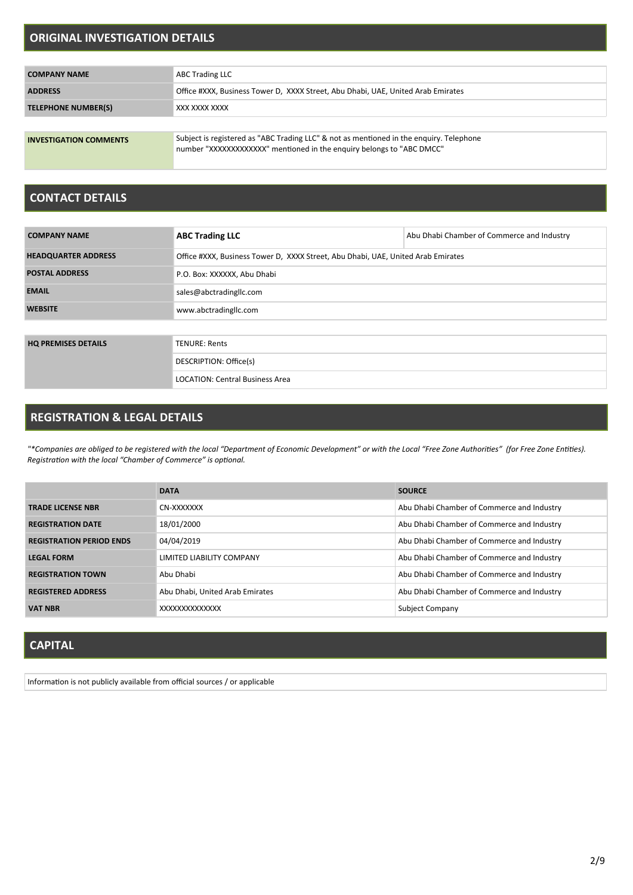#### **ORIGINAL INVESTIGATION DETAILS**

| <b>COMPANY NAME</b>           | <b>ABC Trading LLC</b>                                                                                                                                           |
|-------------------------------|------------------------------------------------------------------------------------------------------------------------------------------------------------------|
| <b>ADDRESS</b>                | Office #XXX, Business Tower D, XXXX Street, Abu Dhabi, UAE, United Arab Emirates                                                                                 |
| <b>TELEPHONE NUMBER(S)</b>    | XXX XXXX XXXX                                                                                                                                                    |
|                               |                                                                                                                                                                  |
| <b>INVESTIGATION COMMENTS</b> | Subject is registered as "ABC Trading LLC" & not as mentioned in the enquiry. Telephone<br>number "XXXXXXXXXXXXX" mentioned in the enguiry belongs to "ABC DMCC" |

#### **CONTACT DETAILS**

| <b>COMPANY NAME</b>                    | <b>ABC Trading LLC</b>                                                           | Abu Dhabi Chamber of Commerce and Industry |  |  |  |
|----------------------------------------|----------------------------------------------------------------------------------|--------------------------------------------|--|--|--|
| <b>HEADQUARTER ADDRESS</b>             | Office #XXX, Business Tower D, XXXX Street, Abu Dhabi, UAE, United Arab Emirates |                                            |  |  |  |
| <b>POSTAL ADDRESS</b>                  | P.O. Box: XXXXXX, Abu Dhabi                                                      |                                            |  |  |  |
| <b>EMAIL</b>                           | sales@abctradingllc.com                                                          |                                            |  |  |  |
| <b>WEBSITE</b>                         | www.abctradingllc.com                                                            |                                            |  |  |  |
|                                        |                                                                                  |                                            |  |  |  |
| <b>HQ PREMISES DETAILS</b>             | <b>TENURE: Rents</b>                                                             |                                            |  |  |  |
|                                        | DESCRIPTION: Office(s)                                                           |                                            |  |  |  |
| <b>LOCATION: Central Business Area</b> |                                                                                  |                                            |  |  |  |

### **REGISTRATION & LEGAL DETAILS**

"\*Companies are obliged to be registered with the local "Department of Economic Development" or with the Local "Free Zone Authorities" (for Free Zone Entities). *RegistraƟon with the local "Chamber of Commerce" is opƟonal.*

|                                 | <b>DATA</b>                     | <b>SOURCE</b>                              |
|---------------------------------|---------------------------------|--------------------------------------------|
| <b>TRADE LICENSE NBR</b>        | CN-XXXXXXX                      | Abu Dhabi Chamber of Commerce and Industry |
| <b>REGISTRATION DATE</b>        | 18/01/2000                      | Abu Dhabi Chamber of Commerce and Industry |
| <b>REGISTRATION PERIOD ENDS</b> | 04/04/2019                      | Abu Dhabi Chamber of Commerce and Industry |
| <b>LEGAL FORM</b>               | LIMITED LIABILITY COMPANY       | Abu Dhabi Chamber of Commerce and Industry |
| <b>REGISTRATION TOWN</b>        | Abu Dhabi                       | Abu Dhabi Chamber of Commerce and Industry |
| <b>REGISTERED ADDRESS</b>       | Abu Dhabi, United Arab Emirates | Abu Dhabi Chamber of Commerce and Industry |
| <b>VAT NBR</b>                  | XXXXXXXXXXXXX                   | Subject Company                            |

### **CAPITAL**

Information is not publicly available from official sources / or applicable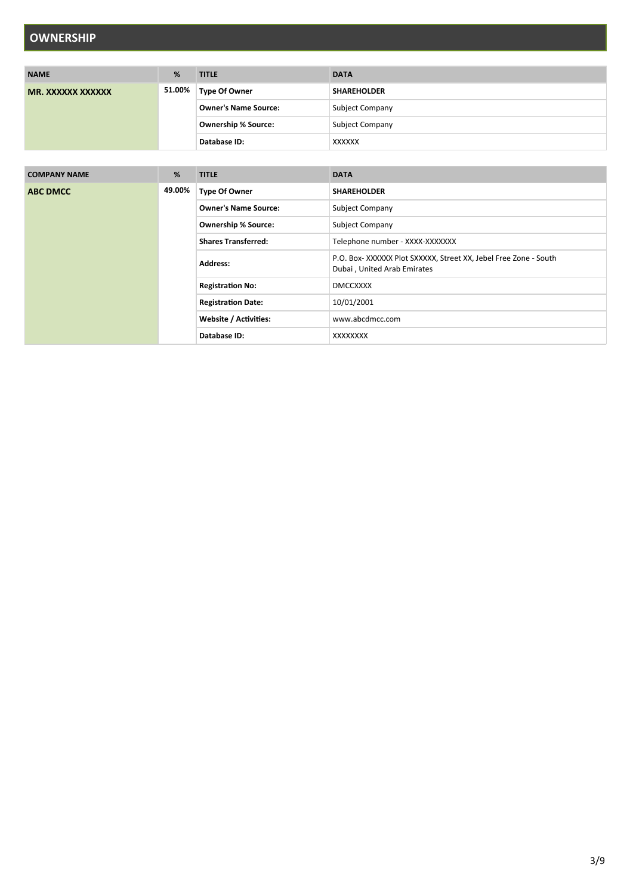# **OWNERSHIP**

| <b>NAME</b>       | %      | <b>TITLE</b>                | <b>DATA</b>            |
|-------------------|--------|-----------------------------|------------------------|
| MR. XXXXXX XXXXXX | 51.00% | <b>Type Of Owner</b>        | <b>SHAREHOLDER</b>     |
|                   |        | <b>Owner's Name Source:</b> | <b>Subject Company</b> |
|                   |        | <b>Ownership % Source:</b>  | <b>Subject Company</b> |
|                   |        | Database ID:                | XXXXXX                 |

| <b>COMPANY NAME</b> | %      | <b>TITLE</b>                | <b>DATA</b>                                                                                    |
|---------------------|--------|-----------------------------|------------------------------------------------------------------------------------------------|
| <b>ABC DMCC</b>     | 49.00% | <b>Type Of Owner</b>        | <b>SHAREHOLDER</b>                                                                             |
|                     |        | <b>Owner's Name Source:</b> | Subject Company                                                                                |
|                     |        | <b>Ownership % Source:</b>  | Subject Company                                                                                |
|                     |        | <b>Shares Transferred:</b>  | Telephone number - XXXX-XXXXXXX                                                                |
|                     |        | <b>Address:</b>             | P.O. Box-XXXXXX Plot SXXXXX, Street XX, Jebel Free Zone - South<br>Dubai, United Arab Emirates |
|                     |        | <b>Registration No:</b>     | <b>DMCCXXXX</b>                                                                                |
|                     |        | <b>Registration Date:</b>   | 10/01/2001                                                                                     |
|                     |        | Website / Activities:       | www.abcdmcc.com                                                                                |
|                     |        | Database ID:                | XXXXXXXX                                                                                       |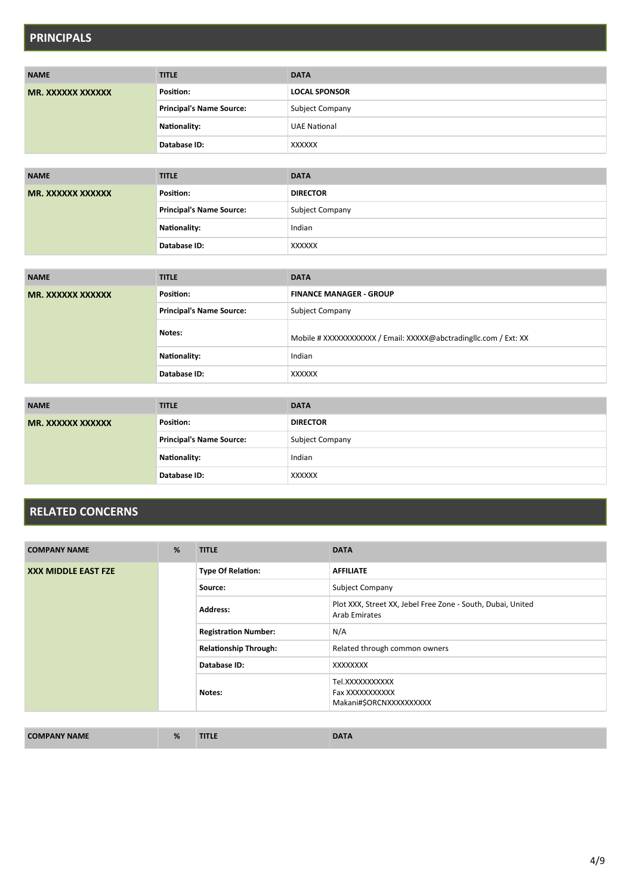## **PRINCIPALS**

| <b>NAME</b>       | <b>TITLE</b>                    | <b>DATA</b>            |
|-------------------|---------------------------------|------------------------|
| MR. XXXXXX XXXXXX | Position:                       | <b>LOCAL SPONSOR</b>   |
|                   | <b>Principal's Name Source:</b> | <b>Subject Company</b> |
|                   | Nationality:                    | <b>UAE National</b>    |
|                   | Database ID:                    | XXXXXX                 |

| <b>NAME</b>       | <b>TITLE</b>                    | <b>DATA</b>            |
|-------------------|---------------------------------|------------------------|
| MR. XXXXXX XXXXXX | Position:                       | <b>DIRECTOR</b>        |
|                   | <b>Principal's Name Source:</b> | <b>Subject Company</b> |
|                   | Nationality:                    | Indian                 |
|                   | Database ID:                    | XXXXXX                 |

| <b>NAME</b>       | <b>TITLE</b>                    | <b>DATA</b>                                                     |
|-------------------|---------------------------------|-----------------------------------------------------------------|
| MR. XXXXXX XXXXXX | Position:                       | <b>FINANCE MANAGER - GROUP</b>                                  |
|                   | <b>Principal's Name Source:</b> | <b>Subject Company</b>                                          |
|                   | Notes:                          | Mobile # XXXXXXXXXXX / Email: XXXXX@abctradingllc.com / Ext: XX |
|                   | Nationality:                    | Indian                                                          |
|                   | Database ID:                    | XXXXXX                                                          |

| <b>NAME</b>       | <b>TITLE</b>             | <b>DATA</b>     |
|-------------------|--------------------------|-----------------|
| MR. XXXXXX XXXXXX | Position:                | <b>DIRECTOR</b> |
|                   | Principal's Name Source: | Subject Company |
|                   | <b>Nationality:</b>      | Indian          |
|                   | Database ID:             | <b>XXXXXX</b>   |

## **RELATED CONCERNS**

| <b>COMPANY NAME</b>        | % | <b>TITLE</b>                 | <b>DATA</b>                                                                  |
|----------------------------|---|------------------------------|------------------------------------------------------------------------------|
| <b>XXX MIDDLE EAST FZE</b> |   | <b>Type Of Relation:</b>     | <b>AFFILIATE</b>                                                             |
|                            |   | Source:                      | <b>Subject Company</b>                                                       |
|                            |   | <b>Address:</b>              | Plot XXX, Street XX, Jebel Free Zone - South, Dubai, United<br>Arab Emirates |
|                            |   | <b>Registration Number:</b>  | N/A                                                                          |
|                            |   | <b>Relationship Through:</b> | Related through common owners                                                |
|                            |   | Database ID:                 | XXXXXXXX                                                                     |
|                            |   | Notes:                       | Tel.XXXXXXXXXX<br>Fax XXXXXXXXXXX<br>Makani#\$ORCNXXXXXXXXXX                 |

| <b>NY NAME</b><br><b>COMPAN</b> | <b>TITLE</b> | $\blacksquare$ |
|---------------------------------|--------------|----------------|
|---------------------------------|--------------|----------------|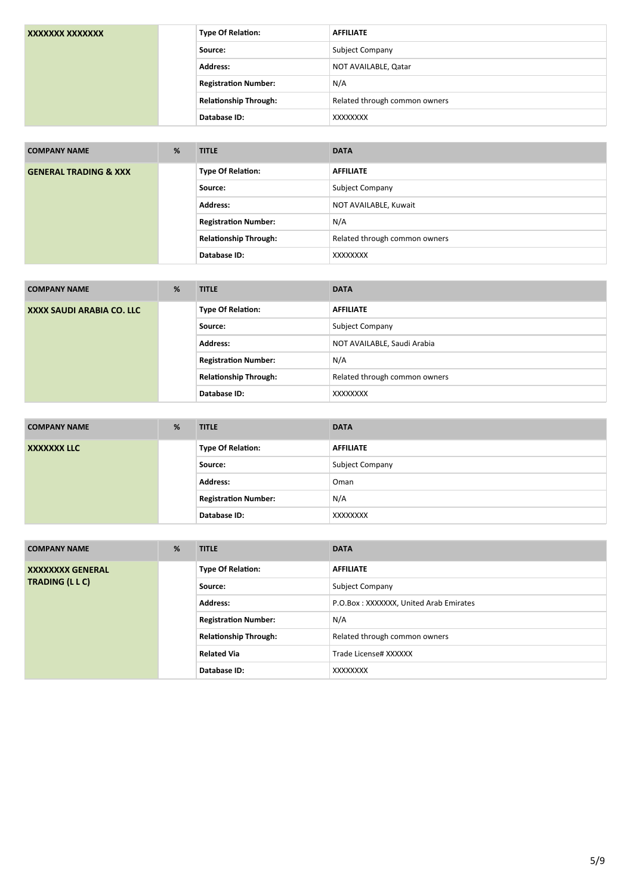| XXXXXXX XXXXXXX | <b>Type Of Relation:</b>     | <b>AFFILIATE</b>              |
|-----------------|------------------------------|-------------------------------|
|                 | Source:                      | <b>Subject Company</b>        |
|                 | <b>Address:</b>              | NOT AVAILABLE, Qatar          |
|                 | <b>Registration Number:</b>  | N/A                           |
|                 | <b>Relationship Through:</b> | Related through common owners |
|                 | Database ID:                 | XXXXXXXX                      |

| <b>COMPANY NAME</b>              | % | <b>TITLE</b>                 | <b>DATA</b>                   |
|----------------------------------|---|------------------------------|-------------------------------|
| <b>GENERAL TRADING &amp; XXX</b> |   | <b>Type Of Relation:</b>     | <b>AFFILIATE</b>              |
|                                  |   | Source:                      | <b>Subject Company</b>        |
|                                  |   | <b>Address:</b>              | NOT AVAILABLE, Kuwait         |
|                                  |   | <b>Registration Number:</b>  | N/A                           |
|                                  |   | <b>Relationship Through:</b> | Related through common owners |
|                                  |   | Database ID:                 | XXXXXXXX                      |

| <b>COMPANY NAME</b>       | % | <b>TITLE</b>                 | <b>DATA</b>                   |
|---------------------------|---|------------------------------|-------------------------------|
| XXXX SAUDI ARABIA CO. LLC |   | <b>Type Of Relation:</b>     | <b>AFFILIATE</b>              |
|                           |   | Source:                      | <b>Subject Company</b>        |
|                           |   | <b>Address:</b>              | NOT AVAILABLE, Saudi Arabia   |
|                           |   | <b>Registration Number:</b>  | N/A                           |
|                           |   | <b>Relationship Through:</b> | Related through common owners |
|                           |   | Database ID:                 | XXXXXXXX                      |

| <b>COMPANY NAME</b> | % | <b>TITLE</b>                | <b>DATA</b>            |
|---------------------|---|-----------------------------|------------------------|
| <b>XXXXXXX LLC</b>  |   | <b>Type Of Relation:</b>    | <b>AFFILIATE</b>       |
|                     |   | Source:                     | <b>Subject Company</b> |
|                     |   | <b>Address:</b>             | Oman                   |
|                     |   | <b>Registration Number:</b> | N/A                    |
|                     |   | Database ID:                | XXXXXXXX               |

| <b>COMPANY NAME</b>     | % | <b>TITLE</b>                 | <b>DATA</b>                            |
|-------------------------|---|------------------------------|----------------------------------------|
| <b>XXXXXXXX GENERAL</b> |   | <b>Type Of Relation:</b>     | <b>AFFILIATE</b>                       |
| <b>TRADING (LLC)</b>    |   | Source:                      | <b>Subject Company</b>                 |
|                         |   | <b>Address:</b>              | P.O.Box: XXXXXXX, United Arab Emirates |
|                         |   | <b>Registration Number:</b>  | N/A                                    |
|                         |   | <b>Relationship Through:</b> | Related through common owners          |
|                         |   | <b>Related Via</b>           | Trade License# XXXXXX                  |
|                         |   | Database ID:                 | <b>XXXXXXXX</b>                        |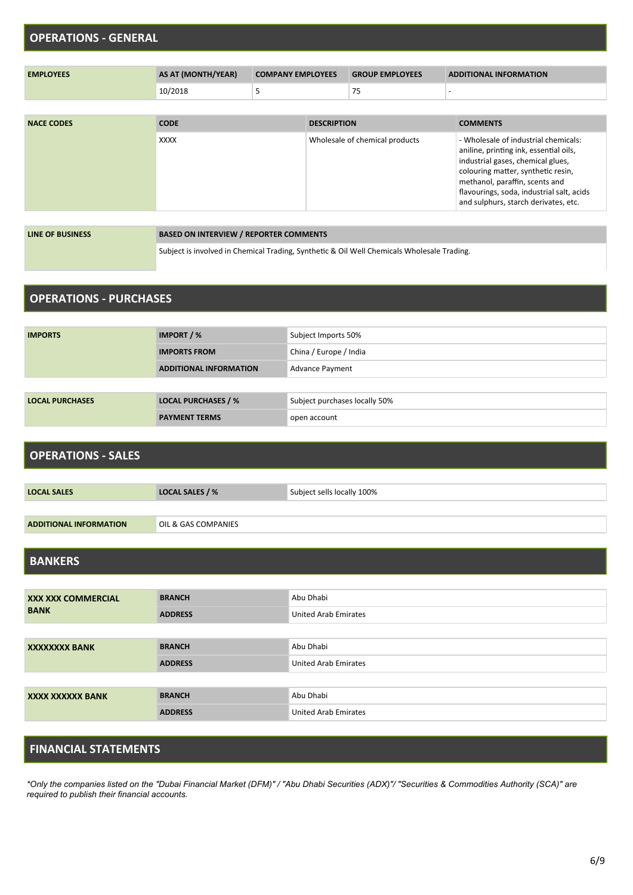# **OPERATIONS - GENERAL EMPLOYEES AS AT (MONTH/YEAR) COMPANY EMPLOYEES GROUP EMPLOYEES ADDITIONAL INFORMATION**  $10/2018$  5 75 - 75

| <b>NACE CODES</b> | <b>CODE</b> | <b>DESCRIPTION</b>             | <b>COMMENTS</b>                                                                                                                                                                                                                                                                  |
|-------------------|-------------|--------------------------------|----------------------------------------------------------------------------------------------------------------------------------------------------------------------------------------------------------------------------------------------------------------------------------|
|                   | <b>XXXX</b> | Wholesale of chemical products | - Wholesale of industrial chemicals:<br>aniline, printing ink, essential oils,<br>industrial gases, chemical glues,<br>colouring matter, synthetic resin,<br>methanol, paraffin, scents and<br>flavourings, soda, industrial salt, acids<br>and sulphurs, starch derivates, etc. |

| LINE OF BUSINESS | <b>BASED ON INTERVIEW / REPORTER COMMENTS</b>                                              |
|------------------|--------------------------------------------------------------------------------------------|
|                  | Subject is involved in Chemical Trading, Synthetic & Oil Well Chemicals Wholesale Trading. |

#### **OPERATIONS - PURCHASES**

| <b>IMPORTS</b>         | IMPORT / %                    | Subject Imports 50%           |
|------------------------|-------------------------------|-------------------------------|
|                        | <b>IMPORTS FROM</b>           | China / Europe / India        |
|                        | <b>ADDITIONAL INFORMATION</b> | Advance Payment               |
|                        |                               |                               |
| <b>LOCAL PURCHASES</b> | <b>LOCAL PURCHASES / %</b>    | Subject purchases locally 50% |
|                        | <b>PAYMENT TERMS</b>          | open account                  |

#### **OPERATIONS - SALES**

| <b>LOCAL SALES</b>            | LOCAL SALES / %     | Subject sells locally 100% |
|-------------------------------|---------------------|----------------------------|
|                               |                     |                            |
| <b>ADDITIONAL INFORMATION</b> | OIL & GAS COMPANIES |                            |

#### **BANKERS**

| <b>XXX XXX COMMERCIAL</b><br><b>BANK</b> | <b>BRANCH</b>  | Abu Dhabi                   |
|------------------------------------------|----------------|-----------------------------|
|                                          | <b>ADDRESS</b> | <b>United Arab Emirates</b> |
|                                          |                |                             |
| <b>XXXXXXXX BANK</b>                     | <b>BRANCH</b>  | Abu Dhabi                   |
|                                          | <b>ADDRESS</b> | <b>United Arab Emirates</b> |
|                                          |                |                             |
| XXXX XXXXXX BANK                         | <b>BRANCH</b>  | Abu Dhabi                   |
|                                          | <b>ADDRESS</b> | <b>United Arab Emirates</b> |

#### **FINANCIAL STATEMENTS**

*\*Only the companies listed on the "Dubai Financial Market (DFM)" / "Abu Dhabi Securities (ADX)"/ "Securities & Commodities Authority (SCA)" are required to publish their financial accounts.*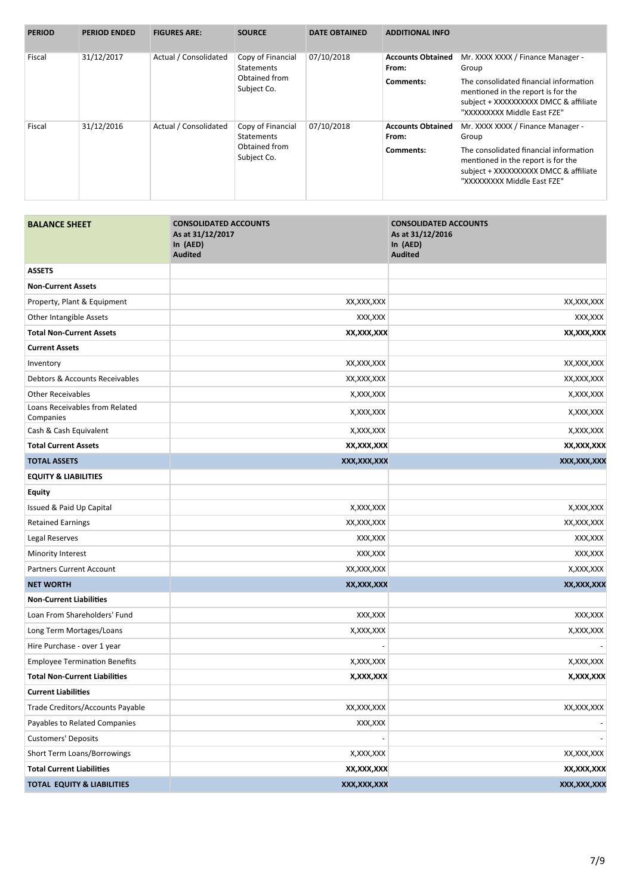| <b>PERIOD</b>        | <b>PERIOD ENDED</b>                                                     | <b>FIGURES ARE:</b>                    | <b>SOURCE</b>                | <b>DATE OBTAINED</b>              | <b>ADDITIONAL INFO</b>                                                                                                                               |                                                                                                                                                      |
|----------------------|-------------------------------------------------------------------------|----------------------------------------|------------------------------|-----------------------------------|------------------------------------------------------------------------------------------------------------------------------------------------------|------------------------------------------------------------------------------------------------------------------------------------------------------|
| Fiscal               | 31/12/2017<br>Actual / Consolidated<br><b>Statements</b><br>Subject Co. |                                        | Copy of Financial            | 07/10/2018                        | <b>Accounts Obtained</b><br>From:                                                                                                                    | Mr. XXXX XXXX / Finance Manager -<br>Group                                                                                                           |
|                      |                                                                         | Obtained from                          |                              | Comments:                         | The consolidated financial information<br>mentioned in the report is for the<br>subject + XXXXXXXXXX DMCC & affiliate<br>"XXXXXXXXX Middle East FZE" |                                                                                                                                                      |
| 31/12/2016<br>Fiscal | Actual / Consolidated                                                   | Copy of Financial<br><b>Statements</b> | 07/10/2018                   | <b>Accounts Obtained</b><br>From: | Mr. XXXX XXXX / Finance Manager -<br>Group                                                                                                           |                                                                                                                                                      |
|                      |                                                                         |                                        | Obtained from<br>Subject Co. |                                   | Comments:                                                                                                                                            | The consolidated financial information<br>mentioned in the report is for the<br>subject + XXXXXXXXXX DMCC & affiliate<br>"XXXXXXXXX Middle East FZE" |

| <b>BALANCE SHEET</b>                        | <b>CONSOLIDATED ACCOUNTS</b><br>As at 31/12/2017<br>In (AED)<br><b>Audited</b> | <b>CONSOLIDATED ACCOUNTS</b><br>As at 31/12/2016<br>In (AED)<br><b>Audited</b> |
|---------------------------------------------|--------------------------------------------------------------------------------|--------------------------------------------------------------------------------|
| <b>ASSETS</b>                               |                                                                                |                                                                                |
| <b>Non-Current Assets</b>                   |                                                                                |                                                                                |
| Property, Plant & Equipment                 | XX,XXX,XXX                                                                     | XX,XXX,XXX                                                                     |
| Other Intangible Assets                     | XXX, XXX                                                                       | XXX,XXX                                                                        |
| <b>Total Non-Current Assets</b>             | XX,XXX,XXX                                                                     | XX,XXX,XXX                                                                     |
| <b>Current Assets</b>                       |                                                                                |                                                                                |
| Inventory                                   | XX, XXX, XXX                                                                   | XX,XXX,XXX                                                                     |
| Debtors & Accounts Receivables              | XX,XXX,XXX                                                                     | XX,XXX,XXX                                                                     |
| <b>Other Receivables</b>                    | X, XXX, XXX                                                                    | X,XXX,XXX                                                                      |
| Loans Receivables from Related<br>Companies | X,XXX,XXX                                                                      | X,XXX,XXX                                                                      |
| Cash & Cash Equivalent                      | X, XXX, XXX                                                                    | X, XXX, XXX                                                                    |
| <b>Total Current Assets</b>                 | XX,XXX,XXX                                                                     | XX,XXX,XXX                                                                     |
| <b>TOTAL ASSETS</b>                         | XXX, XXX, XXX                                                                  | XXX, XXX, XXX                                                                  |
| <b>EQUITY &amp; LIABILITIES</b>             |                                                                                |                                                                                |
| <b>Equity</b>                               |                                                                                |                                                                                |
| Issued & Paid Up Capital                    | X, XXX, XXX                                                                    | X, XXX, XXX                                                                    |
| <b>Retained Earnings</b>                    | XX, XXX, XXX                                                                   | XX,XXX,XXX                                                                     |
| Legal Reserves                              | XXX,XXX                                                                        | XXX,XXX                                                                        |
| Minority Interest                           | XXX, XXX                                                                       | XXX,XXX                                                                        |
| Partners Current Account                    | XX,XXX,XXX                                                                     | X,XXX,XXX                                                                      |
| <b>NET WORTH</b>                            | XX,XXX,XXX                                                                     | XX, XXX, XXX                                                                   |
| <b>Non-Current Liabilities</b>              |                                                                                |                                                                                |
| Loan From Shareholders' Fund                | XXX, XXX                                                                       | XXX, XXX                                                                       |
| Long Term Mortages/Loans                    | X, XXX, XXX                                                                    | X, XXX, XXX                                                                    |
| Hire Purchase - over 1 year                 |                                                                                |                                                                                |
| <b>Employee Termination Benefits</b>        | X, XXX, XXX                                                                    | X,XXX,XXX                                                                      |
| <b>Total Non-Current Liabilities</b>        | X,XXX,XXX                                                                      | X,XXX,XXX                                                                      |
| <b>Current Liabilities</b>                  |                                                                                |                                                                                |
| Trade Creditors/Accounts Payable            | XX, XXX, XXX                                                                   | XX, XXX, XXX                                                                   |
| Payables to Related Companies               | XXX, XXX                                                                       |                                                                                |
| <b>Customers' Deposits</b>                  |                                                                                |                                                                                |
| Short Term Loans/Borrowings                 | X, XXX, XXX                                                                    | XX, XXX, XXX                                                                   |
| <b>Total Current Liabilities</b>            | XX, XXX, XXX                                                                   | XX, XXX, XXX                                                                   |
| TOTAL EQUITY & LIABILITIES                  | XXX, XXX, XXX                                                                  | XXX, XXX, XXX                                                                  |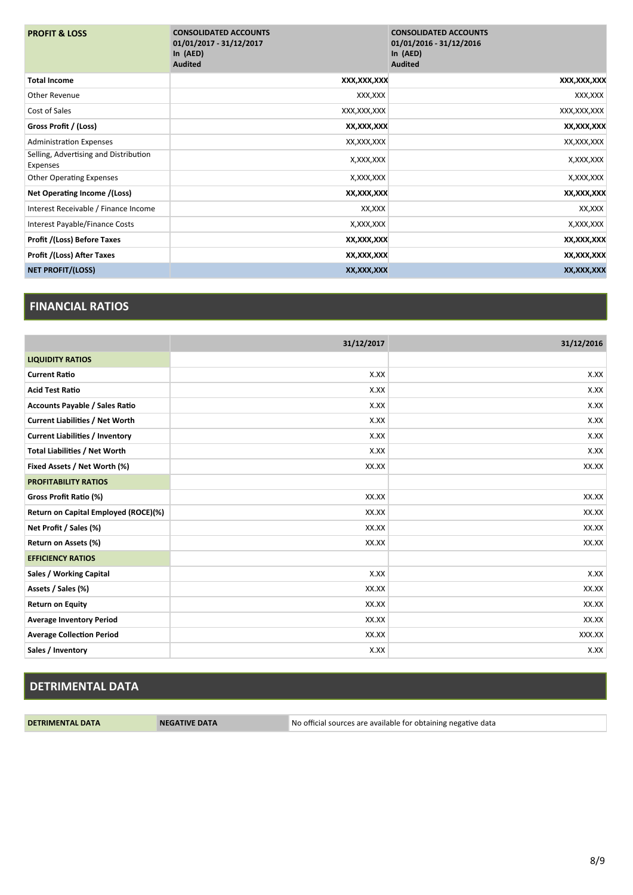| <b>PROFIT &amp; LOSS</b>                          | <b>CONSOLIDATED ACCOUNTS</b><br>01/01/2017 - 31/12/2017<br>In $(AED)$<br><b>Audited</b> | <b>CONSOLIDATED ACCOUNTS</b><br>01/01/2016 - 31/12/2016<br>In $(AED)$<br><b>Audited</b> |
|---------------------------------------------------|-----------------------------------------------------------------------------------------|-----------------------------------------------------------------------------------------|
| <b>Total Income</b>                               | XXX,XXX,XXX                                                                             | XXX,XXX,XXX                                                                             |
| Other Revenue                                     | XXX,XXX                                                                                 | XXX, XXX                                                                                |
| Cost of Sales                                     | XXX, XXX, XXX                                                                           | XXX, XXX, XXX                                                                           |
| Gross Profit / (Loss)                             | XX,XXX,XXX                                                                              | XX, XXX, XXX                                                                            |
| <b>Administration Expenses</b>                    | XX,XXX,XXX                                                                              | XX, XXX, XXX                                                                            |
| Selling, Advertising and Distribution<br>Expenses | X,XXX,XXX                                                                               | X, XXX, XXX                                                                             |
| <b>Other Operating Expenses</b>                   | X,XXX,XXX                                                                               | X, XXX, XXX                                                                             |
| Net Operating Income /(Loss)                      | XX,XXX,XXX                                                                              | XX, XXX, XXX                                                                            |
| Interest Receivable / Finance Income              | XX,XXX                                                                                  | XX,XXX                                                                                  |
| Interest Payable/Finance Costs                    | X,XXX,XXX                                                                               | X, XXX, XXX                                                                             |
| Profit /(Loss) Before Taxes                       | XX,XXX,XXX                                                                              | XX, XXX, XXX                                                                            |
| Profit /(Loss) After Taxes                        | XX,XXX,XXX                                                                              | XX, XXX, XXX                                                                            |
| <b>NET PROFIT/(LOSS)</b>                          | XX,XXX,XXX                                                                              | XX,XXX,XXX                                                                              |

#### **FINANCIAL RATIOS**

|                                        | 31/12/2017 | 31/12/2016 |
|----------------------------------------|------------|------------|
| <b>LIQUIDITY RATIOS</b>                |            |            |
| <b>Current Ratio</b>                   | X.XX       | X.XX       |
| <b>Acid Test Ratio</b>                 | X.XX       | X.XX       |
| <b>Accounts Payable / Sales Ratio</b>  | X.XX       | X.XX       |
| <b>Current Liabilities / Net Worth</b> | X.XX       | X.XX       |
| <b>Current Liabilities / Inventory</b> | X.XX       | X.XX       |
| <b>Total Liabilities / Net Worth</b>   | X.XX       | X.XX       |
| Fixed Assets / Net Worth (%)           | XX.XX      | XX.XX      |
| <b>PROFITABILITY RATIOS</b>            |            |            |
| Gross Profit Ratio (%)                 | XX.XX      | XX.XX      |
| Return on Capital Employed (ROCE)(%)   | XX.XX      | XX.XX      |
| Net Profit / Sales (%)                 | XX.XX      | XX.XX      |
| Return on Assets (%)                   | XX.XX      | XX.XX      |
| <b>EFFICIENCY RATIOS</b>               |            |            |
| Sales / Working Capital                | X.XX       | X.XX       |
| Assets / Sales (%)                     | XX.XX      | XX.XX      |
| <b>Return on Equity</b>                | XX.XX      | XX.XX      |
| <b>Average Inventory Period</b>        | XX.XX      | XX.XX      |
| <b>Average Collection Period</b>       | XX.XX      | XXX.XX     |
| Sales / Inventory                      | X.XX       | X.XX       |

# **DETRIMENTAL DATA**

**DETRIMENTAL DATA NEGATIVE DATA** No official sources are available for obtaining negative data